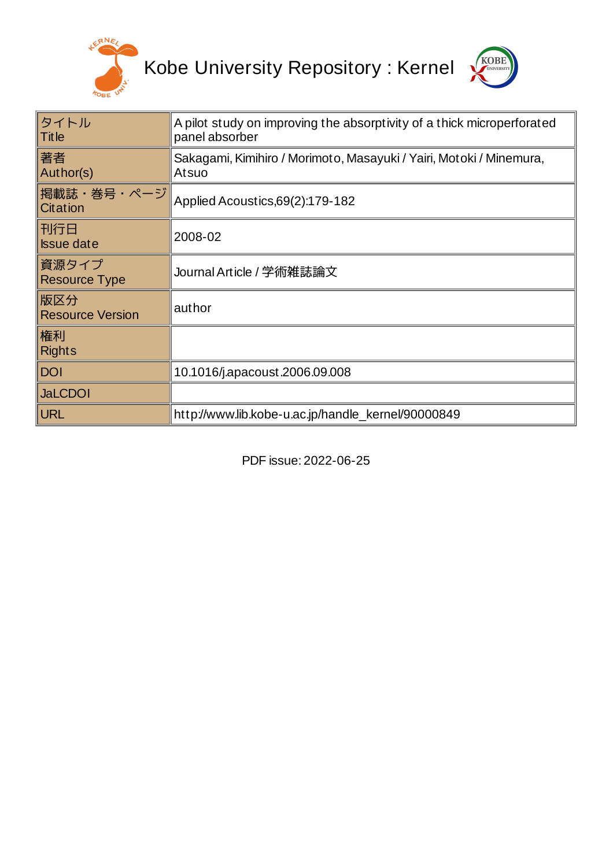

Kobe University Repository : Kernel



| タイトル<br><b>Title</b>           | A pilot study on improving the absorptivity of a thick microperforated<br>panel absorber |  |  |
|--------------------------------|------------------------------------------------------------------------------------------|--|--|
| 著者<br>Author(s)                | Sakagami, Kimihiro / Morimoto, Masayuki / Yairi, Motoki / Minemura,<br>Atsuo             |  |  |
| 掲載誌・巻号・ページ<br>Citation         | Applied Acoustics, 69(2): 179-182                                                        |  |  |
| 刊行日<br><b>Issue date</b>       | 2008-02                                                                                  |  |  |
| 資源タイプ<br><b>Resource Type</b>  | Journal Article / 学術雑誌論文                                                                 |  |  |
| 版区分<br><b>Resource Version</b> | author                                                                                   |  |  |
| 権利<br><b>Rights</b>            |                                                                                          |  |  |
| <b>DOI</b>                     | 10.1016/j.apacoust.2006.09.008                                                           |  |  |
| <b>JaLCDOI</b>                 |                                                                                          |  |  |
| <b>URL</b>                     | http://www.lib.kobe-u.ac.jp/handle kernel/90000849                                       |  |  |

PDF issue: 2022-06-25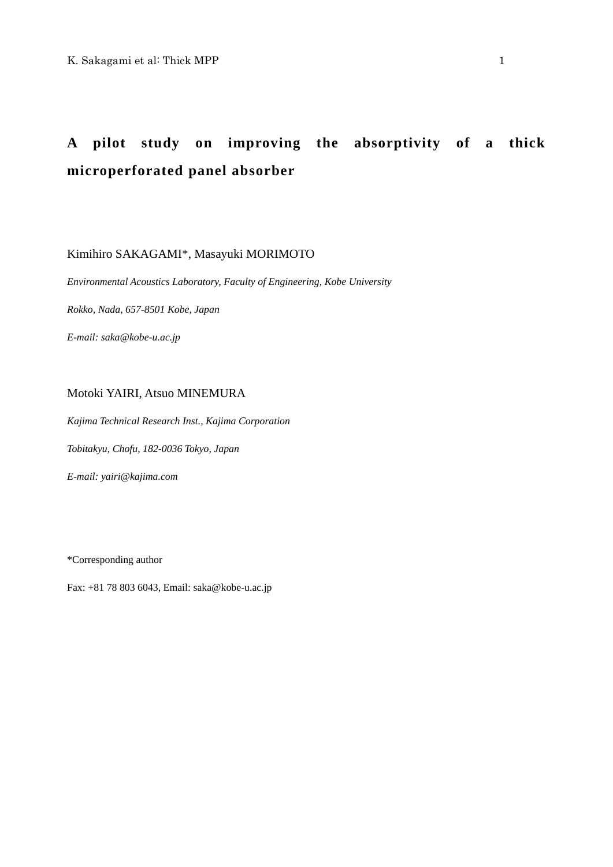# **A pilot study on improving the absorptivity of a thick microperforated panel absorber**

Kimihiro SAKAGAMI\*, Masayuki MORIMOTO

*Environmental Acoustics Laboratory, Faculty of Engineering, Kobe University* 

*Rokko, Nada, 657-8501 Kobe, Japan* 

*E-mail: saka@kobe-u.ac.jp* 

# Motoki YAIRI, Atsuo MINEMURA

*Kajima Technical Research Inst., Kajima Corporation* 

*Tobitakyu, Chofu, 182-0036 Tokyo, Japan* 

*E-mail: yairi@kajima.com* 

\*Corresponding author

Fax: +81 78 803 6043, Email: saka@kobe-u.ac.jp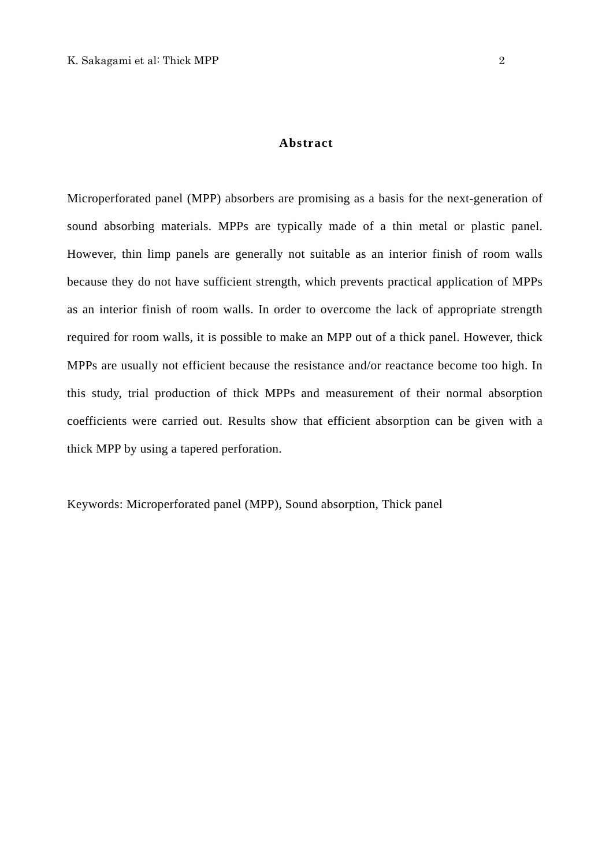Microperforated panel (MPP) absorbers are promising as a basis for the next-generation of sound absorbing materials. MPPs are typically made of a thin metal or plastic panel. However, thin limp panels are generally not suitable as an interior finish of room walls because they do not have sufficient strength, which prevents practical application of MPPs as an interior finish of room walls. In order to overcome the lack of appropriate strength required for room walls, it is possible to make an MPP out of a thick panel. However, thick MPPs are usually not efficient because the resistance and/or reactance become too high. In this study, trial production of thick MPPs and measurement of their normal absorption coefficients were carried out. Results show that efficient absorption can be given with a thick MPP by using a tapered perforation.

Keywords: Microperforated panel (MPP), Sound absorption, Thick panel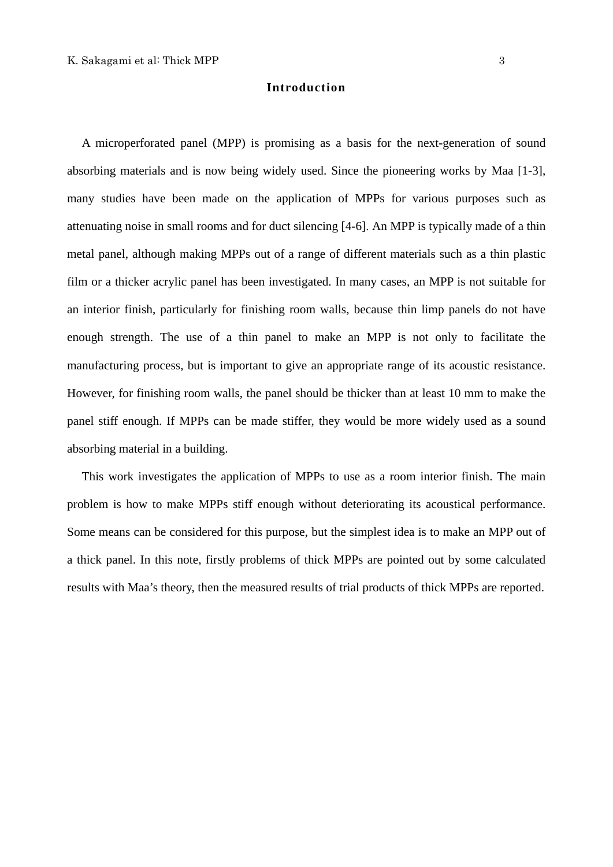## **Introduction**

A microperforated panel (MPP) is promising as a basis for the next-generation of sound absorbing materials and is now being widely used. Since the pioneering works by Maa [1-3], many studies have been made on the application of MPPs for various purposes such as attenuating noise in small rooms and for duct silencing [4-6]. An MPP is typically made of a thin metal panel, although making MPPs out of a range of different materials such as a thin plastic film or a thicker acrylic panel has been investigated. In many cases, an MPP is not suitable for an interior finish, particularly for finishing room walls, because thin limp panels do not have enough strength. The use of a thin panel to make an MPP is not only to facilitate the manufacturing process, but is important to give an appropriate range of its acoustic resistance. However, for finishing room walls, the panel should be thicker than at least 10 mm to make the panel stiff enough. If MPPs can be made stiffer, they would be more widely used as a sound absorbing material in a building.

This work investigates the application of MPPs to use as a room interior finish. The main problem is how to make MPPs stiff enough without deteriorating its acoustical performance. Some means can be considered for this purpose, but the simplest idea is to make an MPP out of a thick panel. In this note, firstly problems of thick MPPs are pointed out by some calculated results with Maa's theory, then the measured results of trial products of thick MPPs are reported.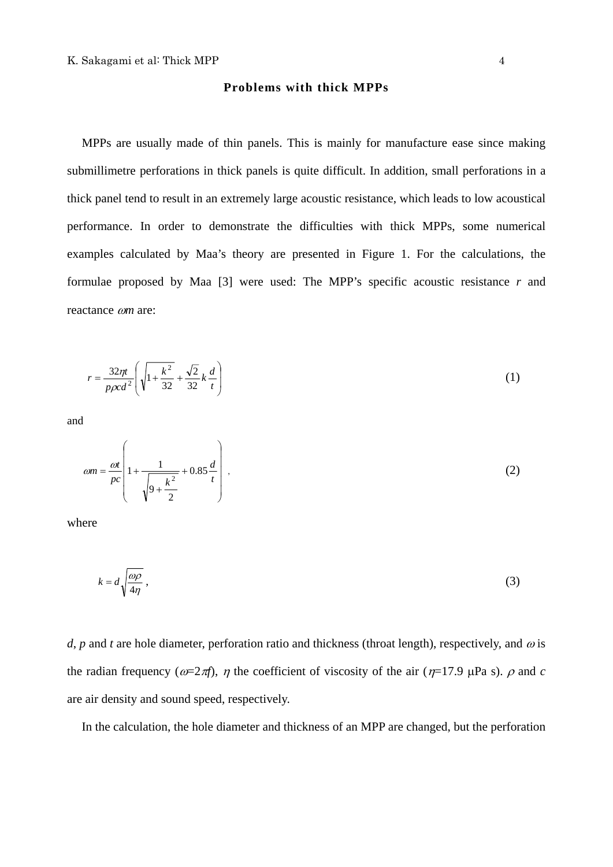#### **Problems with thick MPPs**

MPPs are usually made of thin panels. This is mainly for manufacture ease since making submillimetre perforations in thick panels is quite difficult. In addition, small perforations in a thick panel tend to result in an extremely large acoustic resistance, which leads to low acoustical performance. In order to demonstrate the difficulties with thick MPPs, some numerical examples calculated by Maa's theory are presented in Figure 1. For the calculations, the formulae proposed by Maa [3] were used: The MPP's specific acoustic resistance *r* and reactance ω*m* are:

$$
r = \frac{32\eta t}{p\rho c d^2} \left( \sqrt{1 + \frac{k^2}{32}} + \frac{\sqrt{2}}{32} k \frac{d}{t} \right)
$$
 (1)

and

$$
\omega m = \frac{\omega t}{pc} \left( 1 + \frac{1}{\sqrt{9 + \frac{k^2}{2}}} + 0.85 \frac{d}{t} \right) ,\tag{2}
$$

where

$$
k = d \sqrt{\frac{\omega \rho}{4\eta}} \,, \tag{3}
$$

*d*, *p* and *t* are hole diameter, perforation ratio and thickness (throat length), respectively, and  $\omega$  is the radian frequency ( $\omega = 2\pi f$ ),  $\eta$  the coefficient of viscosity of the air ( $\eta = 17.9$   $\mu$ Pa s).  $\rho$  and *c* are air density and sound speed, respectively.

In the calculation, the hole diameter and thickness of an MPP are changed, but the perforation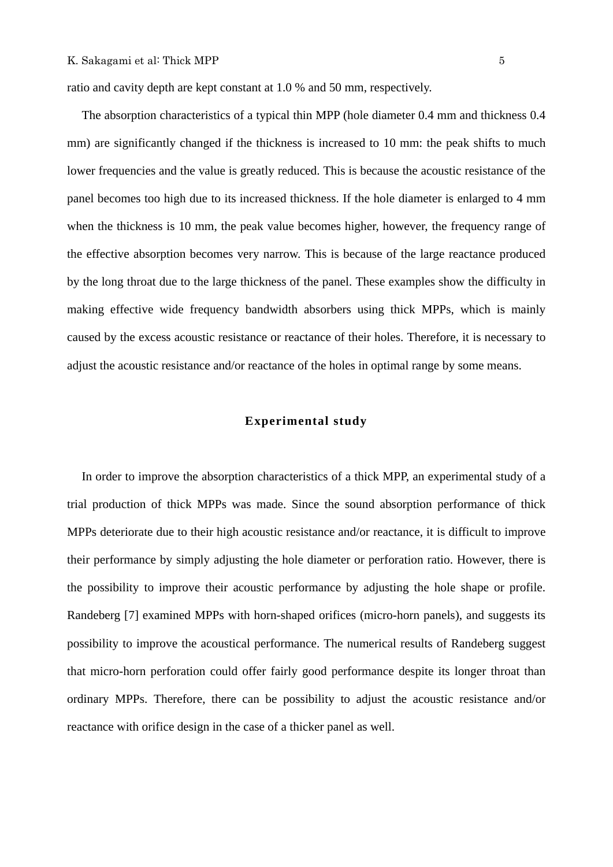ratio and cavity depth are kept constant at 1.0 % and 50 mm, respectively.

The absorption characteristics of a typical thin MPP (hole diameter 0.4 mm and thickness 0.4 mm) are significantly changed if the thickness is increased to 10 mm; the peak shifts to much lower frequencies and the value is greatly reduced. This is because the acoustic resistance of the panel becomes too high due to its increased thickness. If the hole diameter is enlarged to 4 mm when the thickness is 10 mm, the peak value becomes higher, however, the frequency range of the effective absorption becomes very narrow. This is because of the large reactance produced by the long throat due to the large thickness of the panel. These examples show the difficulty in making effective wide frequency bandwidth absorbers using thick MPPs, which is mainly caused by the excess acoustic resistance or reactance of their holes. Therefore, it is necessary to adjust the acoustic resistance and/or reactance of the holes in optimal range by some means.

#### **Experimental study**

In order to improve the absorption characteristics of a thick MPP, an experimental study of a trial production of thick MPPs was made. Since the sound absorption performance of thick MPPs deteriorate due to their high acoustic resistance and/or reactance, it is difficult to improve their performance by simply adjusting the hole diameter or perforation ratio. However, there is the possibility to improve their acoustic performance by adjusting the hole shape or profile. Randeberg [7] examined MPPs with horn-shaped orifices (micro-horn panels), and suggests its possibility to improve the acoustical performance. The numerical results of Randeberg suggest that micro-horn perforation could offer fairly good performance despite its longer throat than ordinary MPPs. Therefore, there can be possibility to adjust the acoustic resistance and/or reactance with orifice design in the case of a thicker panel as well.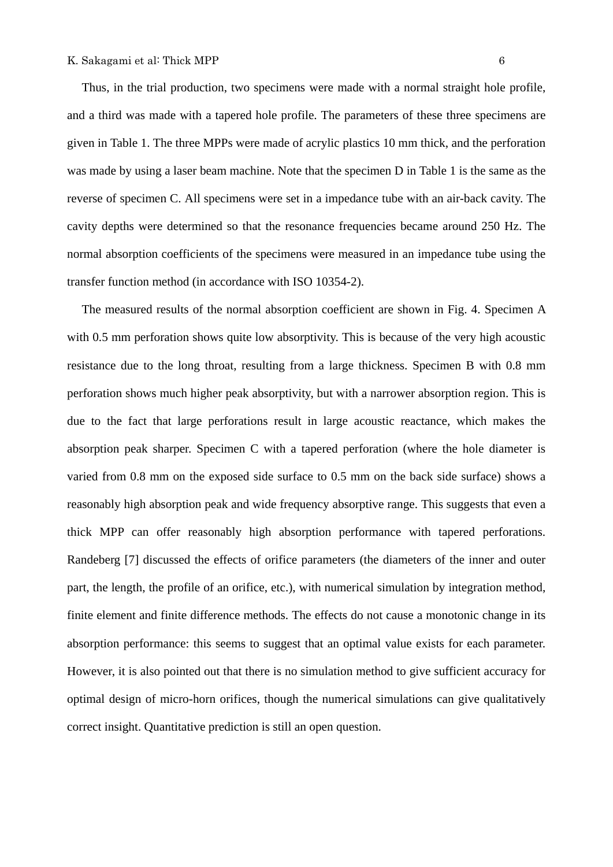Thus, in the trial production, two specimens were made with a normal straight hole profile, and a third was made with a tapered hole profile. The parameters of these three specimens are given in Table 1. The three MPPs were made of acrylic plastics 10 mm thick, and the perforation was made by using a laser beam machine. Note that the specimen D in Table 1 is the same as the reverse of specimen C. All specimens were set in a impedance tube with an air-back cavity. The cavity depths were determined so that the resonance frequencies became around 250 Hz. The normal absorption coefficients of the specimens were measured in an impedance tube using the transfer function method (in accordance with ISO 10354-2).

The measured results of the normal absorption coefficient are shown in Fig. 4. Specimen A with 0.5 mm perforation shows quite low absorptivity. This is because of the very high acoustic resistance due to the long throat, resulting from a large thickness. Specimen B with 0.8 mm perforation shows much higher peak absorptivity, but with a narrower absorption region. This is due to the fact that large perforations result in large acoustic reactance, which makes the absorption peak sharper. Specimen C with a tapered perforation (where the hole diameter is varied from 0.8 mm on the exposed side surface to 0.5 mm on the back side surface) shows a reasonably high absorption peak and wide frequency absorptive range. This suggests that even a thick MPP can offer reasonably high absorption performance with tapered perforations. Randeberg [7] discussed the effects of orifice parameters (the diameters of the inner and outer part, the length, the profile of an orifice, etc.), with numerical simulation by integration method, finite element and finite difference methods. The effects do not cause a monotonic change in its absorption performance: this seems to suggest that an optimal value exists for each parameter. However, it is also pointed out that there is no simulation method to give sufficient accuracy for optimal design of micro-horn orifices, though the numerical simulations can give qualitatively correct insight. Quantitative prediction is still an open question.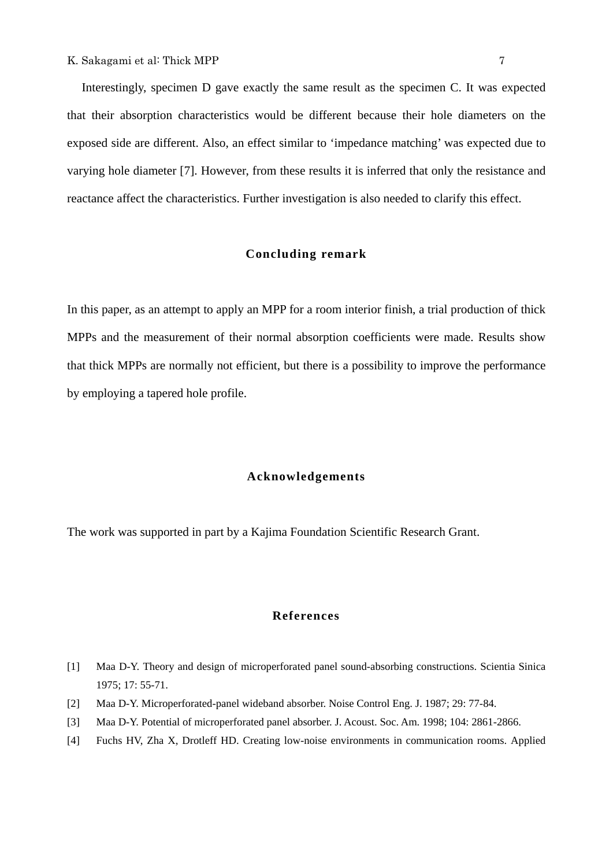Interestingly, specimen D gave exactly the same result as the specimen C. It was expected that their absorption characteristics would be different because their hole diameters on the exposed side are different. Also, an effect similar to 'impedance matching' was expected due to varying hole diameter [7]. However, from these results it is inferred that only the resistance and reactance affect the characteristics. Further investigation is also needed to clarify this effect.

# **Concluding remark**

In this paper, as an attempt to apply an MPP for a room interior finish, a trial production of thick MPPs and the measurement of their normal absorption coefficients were made. Results show that thick MPPs are normally not efficient, but there is a possibility to improve the performance by employing a tapered hole profile.

### **Acknowledgements**

The work was supported in part by a Kajima Foundation Scientific Research Grant.

#### **References**

- [1] Maa D-Y. Theory and design of microperforated panel sound-absorbing constructions. Scientia Sinica 1975; 17: 55-71.
- [2] Maa D-Y. Microperforated-panel wideband absorber. Noise Control Eng. J. 1987; 29: 77-84.
- [3] Maa D-Y. Potential of microperforated panel absorber. J. Acoust. Soc. Am. 1998; 104: 2861-2866.
- [4] Fuchs HV, Zha X, Drotleff HD. Creating low-noise environments in communication rooms. Applied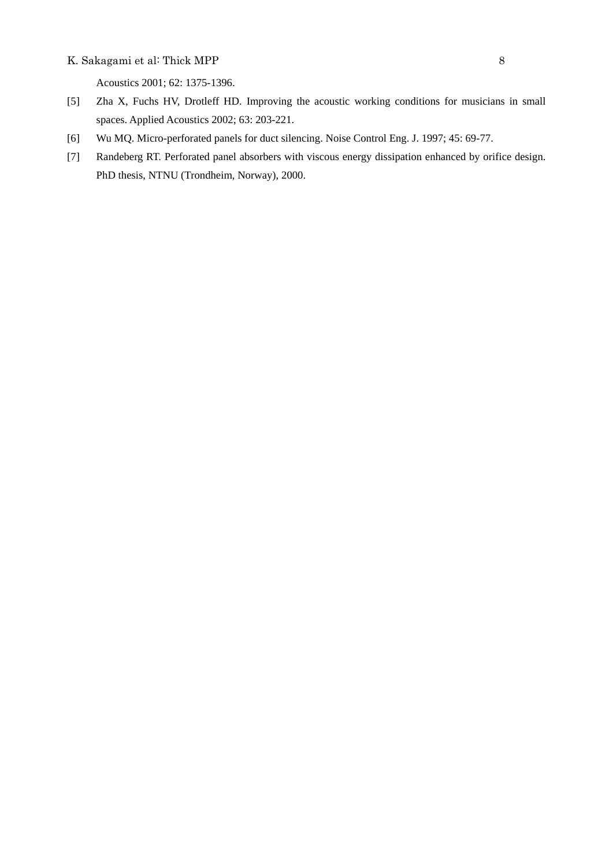#### K. Sakagami et al: Thick MPP 8

Acoustics 2001; 62: 1375-1396.

- [5] Zha X, Fuchs HV, Drotleff HD. Improving the acoustic working conditions for musicians in small spaces. Applied Acoustics 2002; 63: 203-221.
- [6] Wu MQ. Micro-perforated panels for duct silencing. Noise Control Eng. J. 1997; 45: 69-77.
- [7] Randeberg RT. Perforated panel absorbers with viscous energy dissipation enhanced by orifice design. PhD thesis, NTNU (Trondheim, Norway), 2000.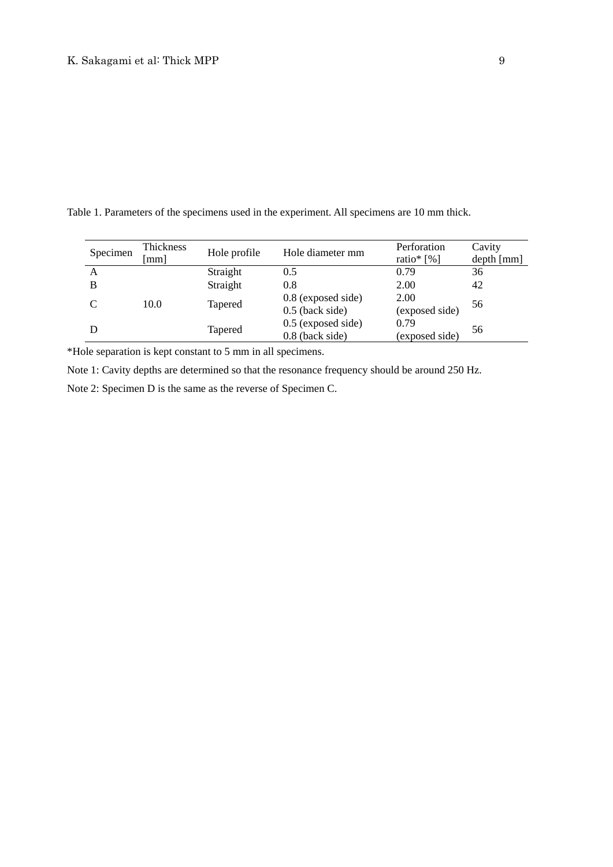Table 1. Parameters of the specimens used in the experiment. All specimens are 10 mm thick.

| Specimen | Thickness<br>mm | Hole profile   | Hole diameter mm                          | Perforation<br>ratio* [%] | Cavity<br>depth [mm] |
|----------|-----------------|----------------|-------------------------------------------|---------------------------|----------------------|
| A        |                 | Straight       | 0.5                                       | 0.79                      | 36                   |
| B        |                 | Straight       | 0.8                                       | 2.00                      | 42                   |
|          | 10.0            | <b>Tapered</b> | $0.8$ (exposed side)<br>$0.5$ (back side) | 2.00<br>(exposed side)    | 56                   |
|          |                 | <b>Tapered</b> | $0.5$ (exposed side)<br>$0.8$ (back side) | 0.79<br>(exposed side)    | 56                   |

\*Hole separation is kept constant to 5 mm in all specimens.

Note 1: Cavity depths are determined so that the resonance frequency should be around 250 Hz.

Note 2: Specimen D is the same as the reverse of Specimen C.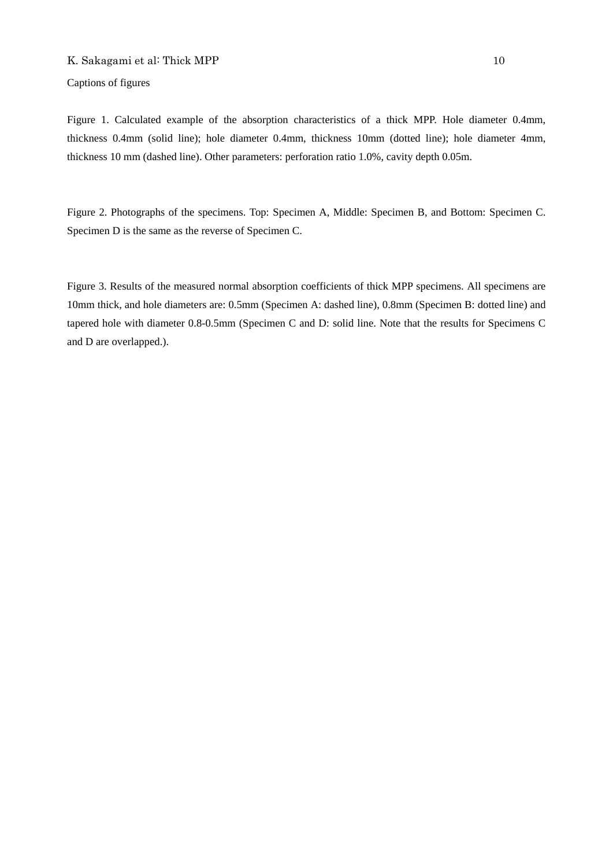Captions of figures

Figure 1. Calculated example of the absorption characteristics of a thick MPP. Hole diameter 0.4mm, thickness 0.4mm (solid line); hole diameter 0.4mm, thickness 10mm (dotted line); hole diameter 4mm, thickness 10 mm (dashed line). Other parameters: perforation ratio 1.0%, cavity depth 0.05m.

Figure 2. Photographs of the specimens. Top: Specimen A, Middle: Specimen B, and Bottom: Specimen C. Specimen D is the same as the reverse of Specimen C.

Figure 3. Results of the measured normal absorption coefficients of thick MPP specimens. All specimens are 10mm thick, and hole diameters are: 0.5mm (Specimen A: dashed line), 0.8mm (Specimen B: dotted line) and tapered hole with diameter 0.8-0.5mm (Specimen C and D: solid line. Note that the results for Specimens C and D are overlapped.).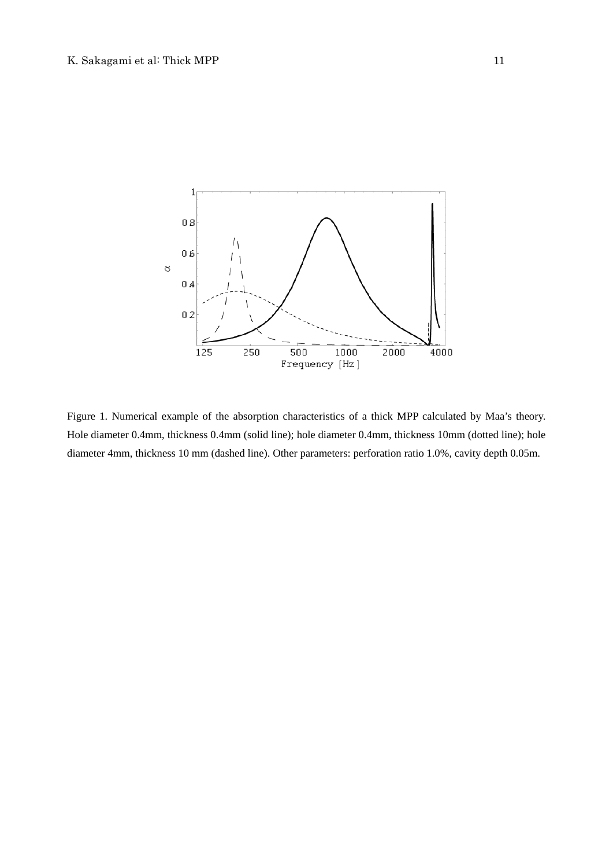

Figure 1. Numerical example of the absorption characteristics of a thick MPP calculated by Maa's theory. Hole diameter 0.4mm, thickness 0.4mm (solid line); hole diameter 0.4mm, thickness 10mm (dotted line); hole diameter 4mm, thickness 10 mm (dashed line). Other parameters: perforation ratio 1.0%, cavity depth 0.05m.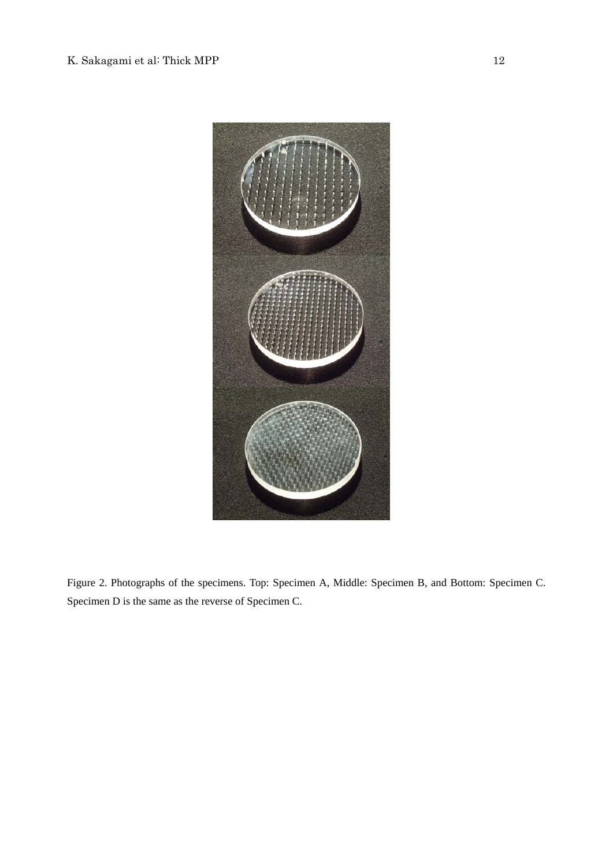

Figure 2. Photographs of the specimens. Top: Specimen A, Middle: Specimen B, and Bottom: Specimen C. Specimen D is the same as the reverse of Specimen C.